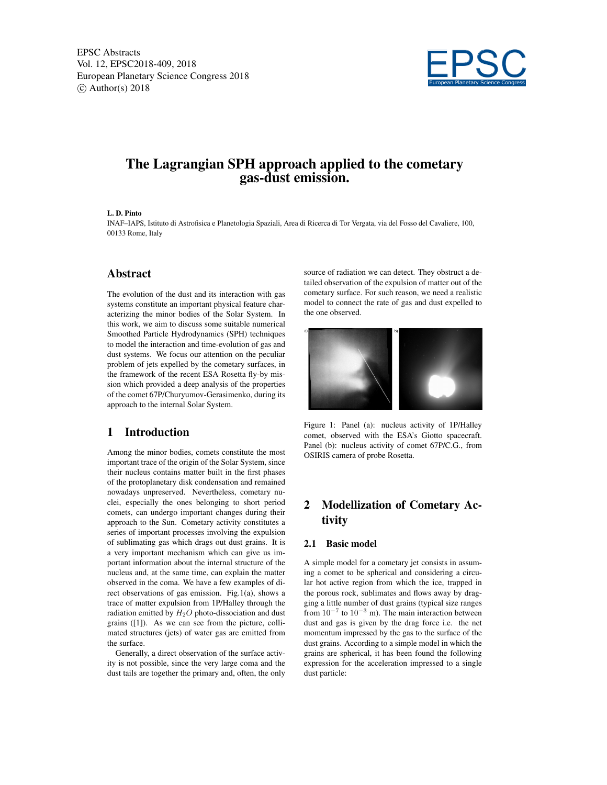

# The Lagrangian SPH approach applied to the cometary gas-dust emission.

#### L. D. Pinto

INAF–IAPS, Istituto di Astrofisica e Planetologia Spaziali, Area di Ricerca di Tor Vergata, via del Fosso del Cavaliere, 100, 00133 Rome, Italy

## Abstract

The evolution of the dust and its interaction with gas systems constitute an important physical feature characterizing the minor bodies of the Solar System. In this work, we aim to discuss some suitable numerical Smoothed Particle Hydrodynamics (SPH) techniques to model the interaction and time-evolution of gas and dust systems. We focus our attention on the peculiar problem of jets expelled by the cometary surfaces, in the framework of the recent ESA Rosetta fly-by mission which provided a deep analysis of the properties of the comet 67P/Churyumov-Gerasimenko, during its approach to the internal Solar System.

## 1 Introduction

Among the minor bodies, comets constitute the most important trace of the origin of the Solar System, since their nucleus contains matter built in the first phases of the protoplanetary disk condensation and remained nowadays unpreserved. Nevertheless, cometary nuclei, especially the ones belonging to short period comets, can undergo important changes during their approach to the Sun. Cometary activity constitutes a series of important processes involving the expulsion of sublimating gas which drags out dust grains. It is a very important mechanism which can give us important information about the internal structure of the nucleus and, at the same time, can explain the matter observed in the coma. We have a few examples of direct observations of gas emission. Fig.1(a), shows a trace of matter expulsion from 1P/Halley through the radiation emitted by  $H_2O$  photo-dissociation and dust grains ([1]). As we can see from the picture, collimated structures (jets) of water gas are emitted from the surface.

Generally, a direct observation of the surface activity is not possible, since the very large coma and the dust tails are together the primary and, often, the only source of radiation we can detect. They obstruct a detailed observation of the expulsion of matter out of the cometary surface. For such reason, we need a realistic model to connect the rate of gas and dust expelled to the one observed.



Figure 1: Panel (a): nucleus activity of 1P/Halley comet, observed with the ESA's Giotto spacecraft. Panel (b): nucleus activity of comet 67P/C.G., from OSIRIS camera of probe Rosetta.

## 2 Modellization of Cometary Activity

### 2.1 Basic model

A simple model for a cometary jet consists in assuming a comet to be spherical and considering a circular hot active region from which the ice, trapped in the porous rock, sublimates and flows away by dragging a little number of dust grains (typical size ranges from  $10^{-7}$  to  $10^{-3}$  m). The main interaction between dust and gas is given by the drag force i.e. the net momentum impressed by the gas to the surface of the dust grains. According to a simple model in which the grains are spherical, it has been found the following expression for the acceleration impressed to a single dust particle: